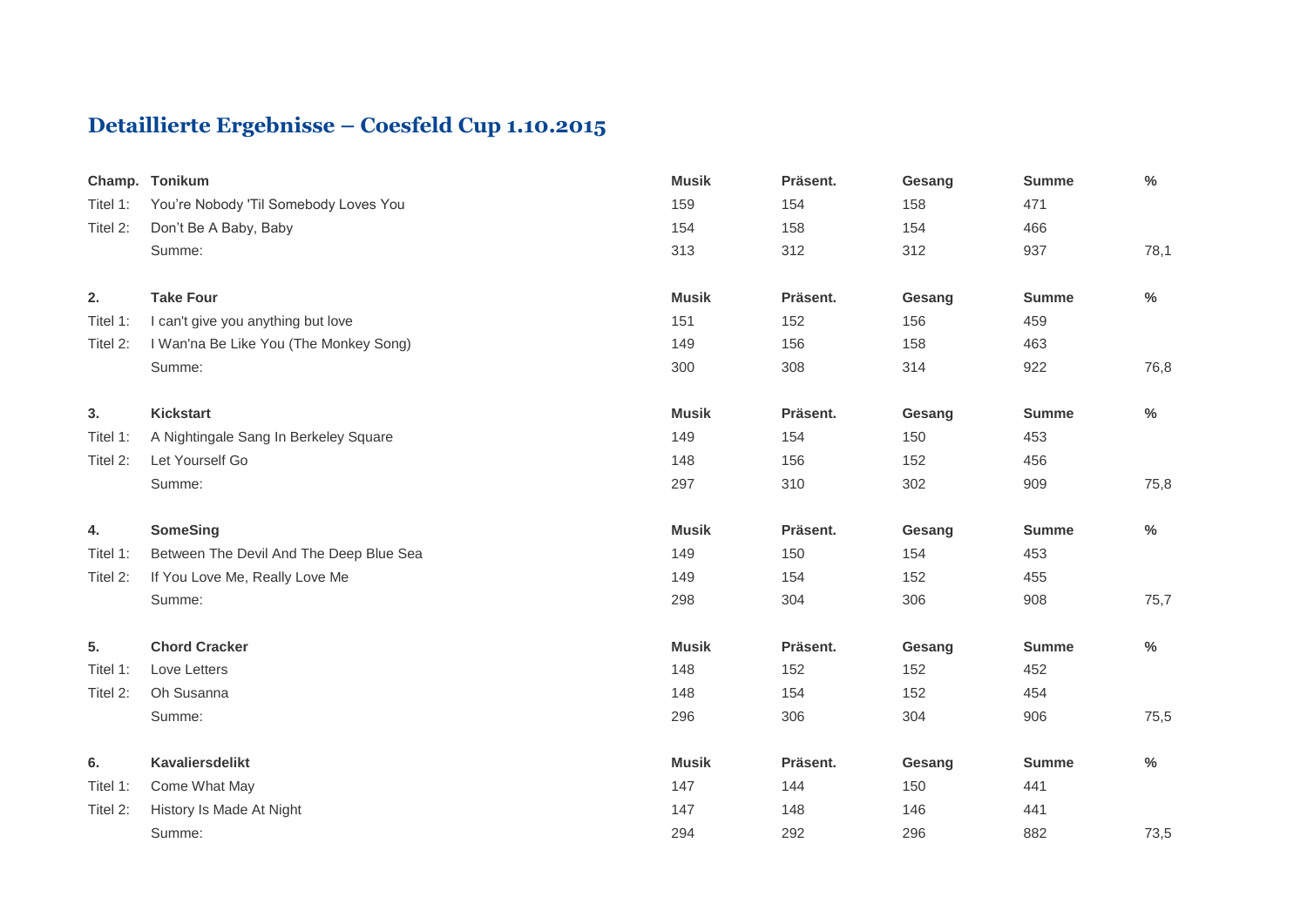## **Detaillierte Ergebnisse – Coesfeld Cup 1.10.2015**

| Champ.   | <b>Tonikum</b>                          | <b>Musik</b> | Präsent. | Gesang | <b>Summe</b> | $\%$          |
|----------|-----------------------------------------|--------------|----------|--------|--------------|---------------|
| Titel 1: | You're Nobody 'Til Somebody Loves You   | 159          | 154      | 158    | 471          |               |
| Titel 2: | Don't Be A Baby, Baby                   | 154          | 158      | 154    | 466          |               |
|          | Summe:                                  | 313          | 312      | 312    | 937          | 78,1          |
| 2.       | <b>Take Four</b>                        | <b>Musik</b> | Präsent. | Gesang | <b>Summe</b> | $\frac{0}{0}$ |
| Titel 1: | I can't give you anything but love      | 151          | 152      | 156    | 459          |               |
| Titel 2: | I Wan'na Be Like You (The Monkey Song)  | 149          | 156      | 158    | 463          |               |
|          | Summe:                                  | 300          | 308      | 314    | 922          | 76,8          |
| 3.       | <b>Kickstart</b>                        | <b>Musik</b> | Präsent. | Gesang | <b>Summe</b> | %             |
| Titel 1: | A Nightingale Sang In Berkeley Square   | 149          | 154      | 150    | 453          |               |
| Titel 2: | Let Yourself Go                         | 148          | 156      | 152    | 456          |               |
|          | Summe:                                  | 297          | 310      | 302    | 909          | 75,8          |
| 4.       | <b>SomeSing</b>                         | <b>Musik</b> | Präsent. | Gesang | <b>Summe</b> | $\%$          |
| Titel 1: | Between The Devil And The Deep Blue Sea | 149          | 150      | 154    | 453          |               |
| Titel 2: | If You Love Me, Really Love Me          | 149          | 154      | 152    | 455          |               |
|          | Summe:                                  | 298          | 304      | 306    | 908          | 75,7          |
| 5.       | <b>Chord Cracker</b>                    | <b>Musik</b> | Präsent. | Gesang | <b>Summe</b> | $\%$          |
| Titel 1: | Love Letters                            | 148          | 152      | 152    | 452          |               |
| Titel 2: | Oh Susanna                              | 148          | 154      | 152    | 454          |               |
|          | Summe:                                  | 296          | 306      | 304    | 906          | 75,5          |
| 6.       | <b>Kavaliersdelikt</b>                  | <b>Musik</b> | Präsent. | Gesang | <b>Summe</b> | %             |
| Titel 1: | Come What May                           | 147          | 144      | 150    | 441          |               |
| Titel 2: | History Is Made At Night                | 147          | 148      | 146    | 441          |               |
|          | Summe:                                  | 294          | 292      | 296    | 882          | 73,5          |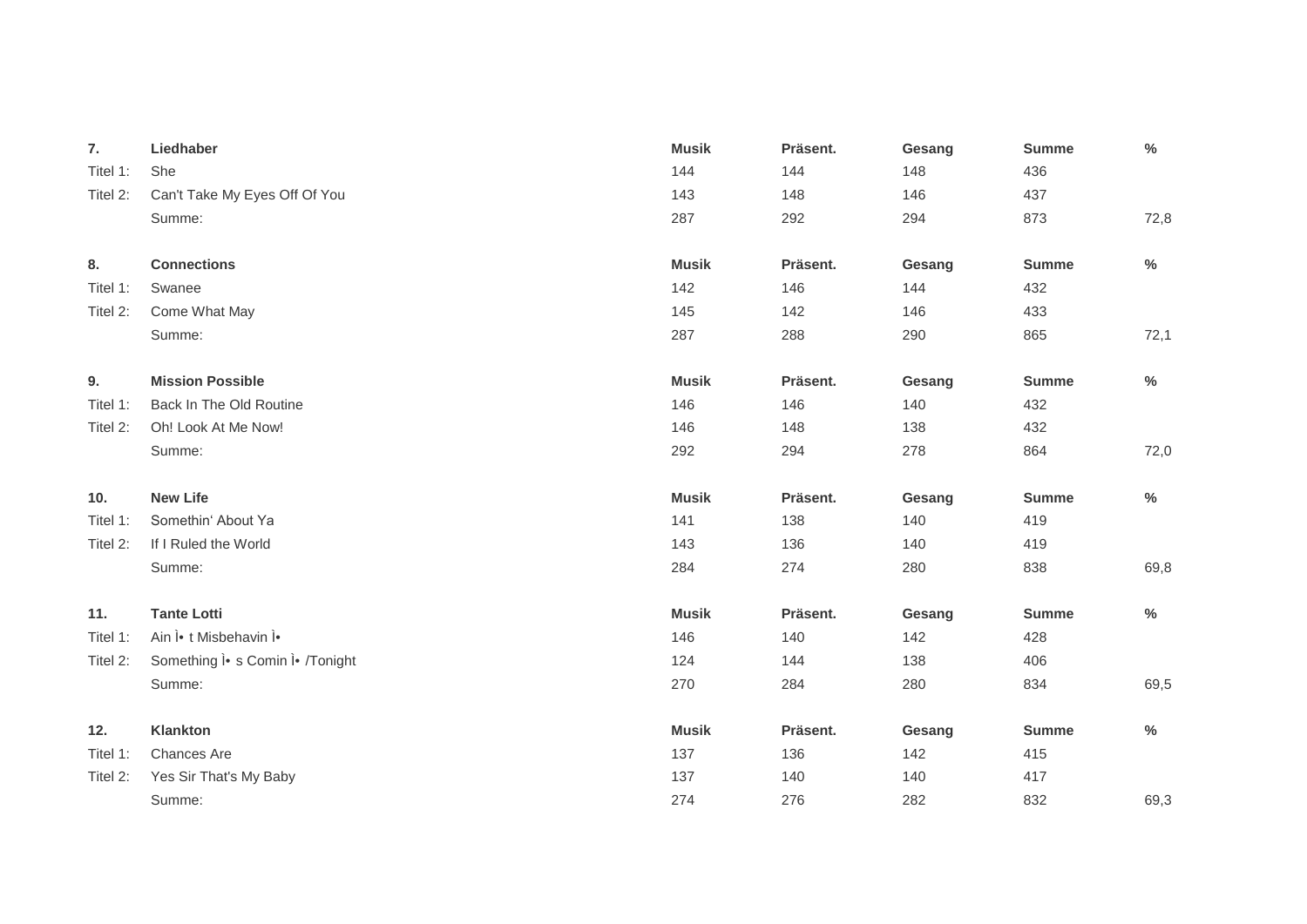| 7.       | Liedhaber                          | <b>Musik</b> | Präsent. | Gesang | <b>Summe</b> | $\%$ |
|----------|------------------------------------|--------------|----------|--------|--------------|------|
| Titel 1: | She                                | 144          | 144      | 148    | 436          |      |
| Titel 2: | Can't Take My Eyes Off Of You      | 143          | 148      | 146    | 437          |      |
|          | Summe:                             | 287          | 292      | 294    | 873          | 72,8 |
|          |                                    |              |          |        |              |      |
| 8.       | <b>Connections</b>                 | <b>Musik</b> | Präsent. | Gesang | <b>Summe</b> | $\%$ |
| Titel 1: | Swanee                             | 142          | 146      | 144    | 432          |      |
| Titel 2: | Come What May                      | 145          | 142      | 146    | 433          |      |
|          | Summe:                             | 287          | 288      | 290    | 865          | 72,1 |
| 9.       | <b>Mission Possible</b>            | <b>Musik</b> | Präsent. | Gesang | <b>Summe</b> | $\%$ |
| Titel 1: | Back In The Old Routine            | 146          | 146      | 140    | 432          |      |
| Titel 2: | Oh! Look At Me Now!                | 146          | 148      | 138    | 432          |      |
|          | Summe:                             | 292          | 294      | 278    | 864          | 72,0 |
|          |                                    |              |          |        |              |      |
| 10.      | <b>New Life</b>                    | <b>Musik</b> | Präsent. | Gesang | <b>Summe</b> | $\%$ |
| Titel 1: | Somethin' About Ya                 | 141          | 138      | 140    | 419          |      |
| Titel 2: | If I Ruled the World               | 143          | 136      | 140    | 419          |      |
|          | Summe:                             | 284          | 274      | 280    | 838          | 69,8 |
| 11.      | <b>Tante Lotti</b>                 | <b>Musik</b> | Präsent. | Gesang | <b>Summe</b> | $\%$ |
| Titel 1: | Ain l• t Misbehavin l•             | 146          | 140      | 142    | 428          |      |
| Titel 2: | Something l · s Comin l · /Tonight | 124          | 144      | 138    | 406          |      |
|          | Summe:                             | 270          | 284      | 280    | 834          | 69,5 |
| 12.      | Klankton                           | <b>Musik</b> | Präsent. | Gesang | <b>Summe</b> | $\%$ |
| Titel 1: | Chances Are                        | 137          | 136      | 142    | 415          |      |
| Titel 2: | Yes Sir That's My Baby             | 137          | 140      | 140    | 417          |      |
|          | Summe:                             | 274          | 276      | 282    | 832          | 69,3 |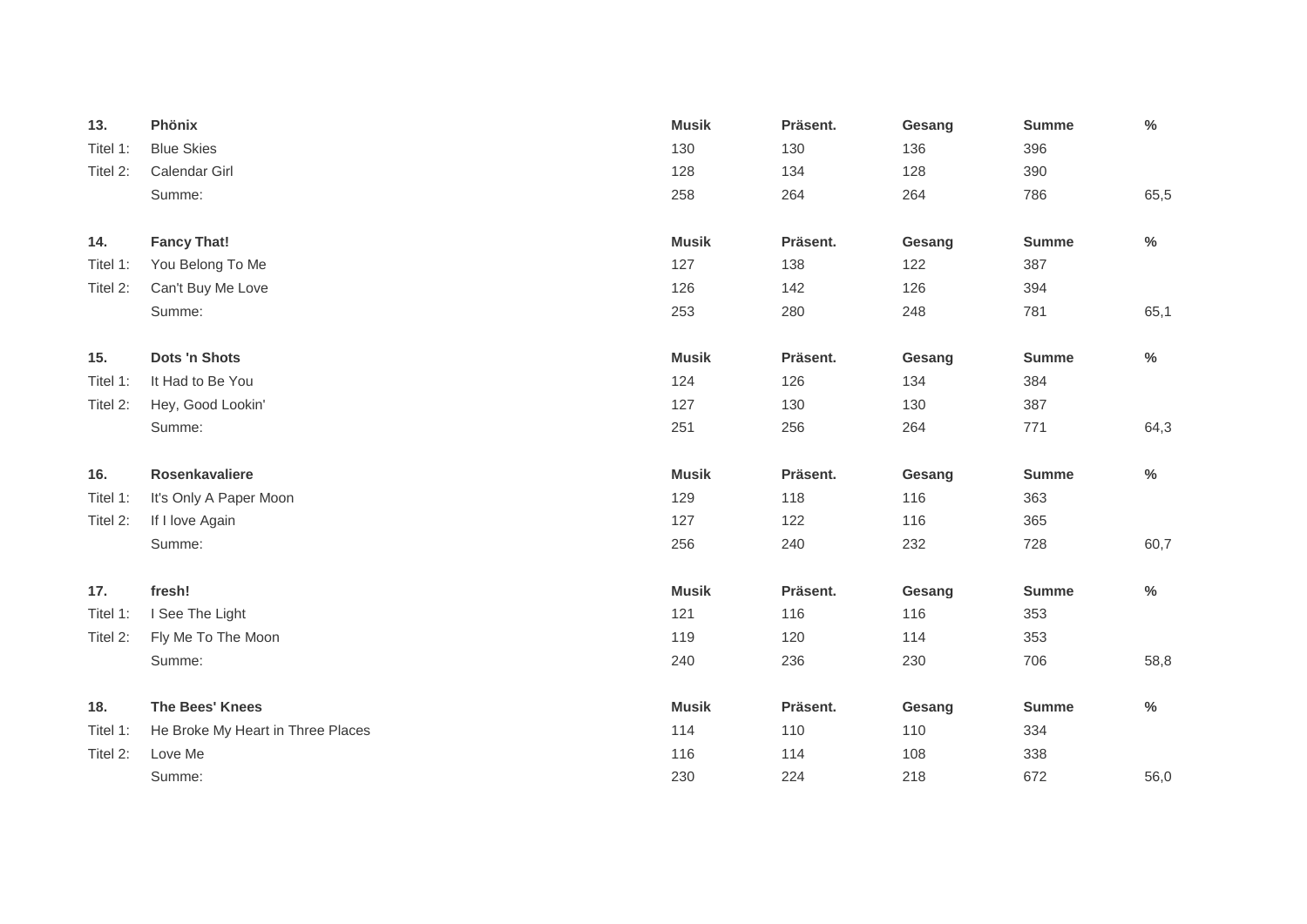| 13.      | Phönix                            | <b>Musik</b> | Präsent. | Gesang | <b>Summe</b> | $\frac{0}{0}$ |
|----------|-----------------------------------|--------------|----------|--------|--------------|---------------|
| Titel 1: | <b>Blue Skies</b>                 | 130          | 130      | 136    | 396          |               |
| Titel 2: | Calendar Girl                     | 128          | 134      | 128    | 390          |               |
|          | Summe:                            | 258          | 264      | 264    | 786          | 65,5          |
| 14.      | <b>Fancy That!</b>                | <b>Musik</b> | Präsent. | Gesang | <b>Summe</b> | $\%$          |
| Titel 1: | You Belong To Me                  | 127          | 138      | 122    | 387          |               |
| Titel 2: | Can't Buy Me Love                 | 126          | 142      | 126    | 394          |               |
|          | Summe:                            | 253          | 280      | 248    | 781          | 65,1          |
| 15.      | Dots 'n Shots                     | <b>Musik</b> | Präsent. | Gesang | <b>Summe</b> | $\%$          |
| Titel 1: | It Had to Be You                  | 124          | 126      | 134    | 384          |               |
| Titel 2: | Hey, Good Lookin'                 | 127          | 130      | 130    | 387          |               |
|          | Summe:                            | 251          | 256      | 264    | 771          | 64,3          |
| 16.      | Rosenkavaliere                    | <b>Musik</b> | Präsent. | Gesang | <b>Summe</b> | $\%$          |
| Titel 1: | It's Only A Paper Moon            | 129          | 118      | 116    | 363          |               |
| Titel 2: | If I love Again                   | 127          | 122      | 116    | 365          |               |
|          | Summe:                            | 256          | 240      | 232    | 728          | 60,7          |
| 17.      | fresh!                            | <b>Musik</b> | Präsent. | Gesang | <b>Summe</b> | $\%$          |
| Titel 1: | I See The Light                   | 121          | 116      | 116    | 353          |               |
| Titel 2: | Fly Me To The Moon                | 119          | 120      | 114    | 353          |               |
|          | Summe:                            | 240          | 236      | 230    | 706          | 58,8          |
| 18.      | <b>The Bees' Knees</b>            | <b>Musik</b> | Präsent. | Gesang | <b>Summe</b> | $\%$          |
| Titel 1: | He Broke My Heart in Three Places | 114          | 110      | 110    | 334          |               |
| Titel 2: | Love Me                           | 116          | 114      | 108    | 338          |               |
|          | Summe:                            | 230          | 224      | 218    | 672          | 56,0          |